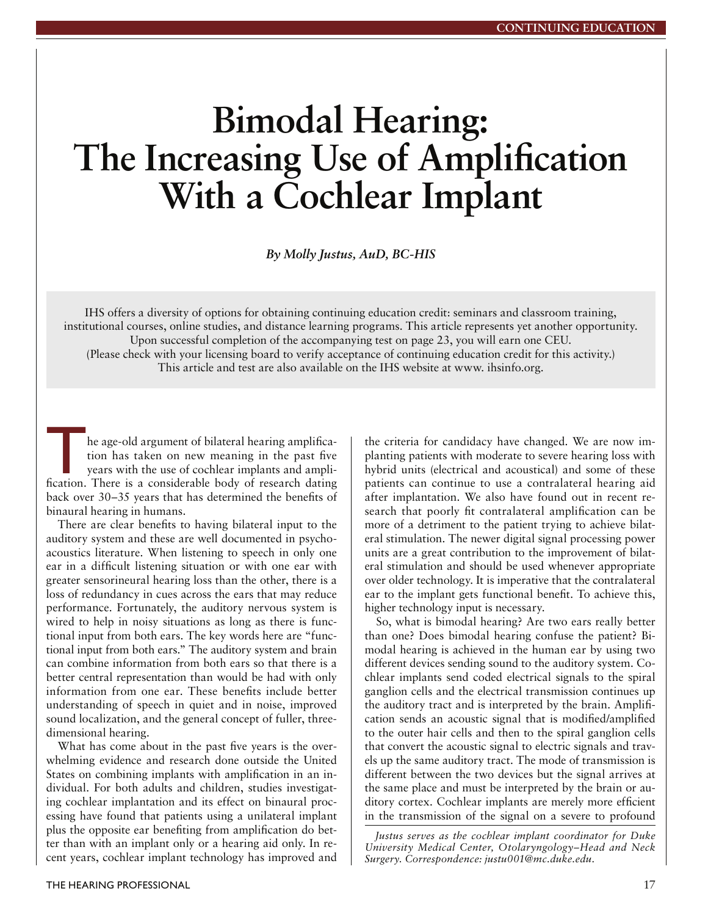# **Bimodal Hearing: The Increasing Use of Amplification With a Cochlear Implant**

*By Molly Justus, AuD, BC-HIS*

IHS offers a diversity of options for obtaining continuing education credit: seminars and classroom training, institutional courses, online studies, and distance learning programs. This article represents yet another opportunity. Upon successful completion of the accompanying test on page 23, you will earn one CEU. (Please check with your licensing board to verify acceptance of continuing education credit for this activity.) This article and test are also available on the IHS website at www. ihsinfo.org.

The age-old argument of bilateral hearing amplification has taken on new meaning in the past five years with the use of cochlear implants and amplification. There is a considerable body of research dating he age-old argument of bilateral hearing amplification has taken on new meaning in the past five years with the use of cochlear implants and ampliback over 30–35 years that has determined the benefits of binaural hearing in humans.

There are clear benefits to having bilateral input to the auditory system and these are well documented in psychoacoustics literature. When listening to speech in only one ear in a difficult listening situation or with one ear with greater sensorineural hearing loss than the other, there is a loss of redundancy in cues across the ears that may reduce performance. Fortunately, the auditory nervous system is wired to help in noisy situations as long as there is functional input from both ears. The key words here are "functional input from both ears." The auditory system and brain can combine information from both ears so that there is a better central representation than would be had with only information from one ear. These benefits include better understanding of speech in quiet and in noise, improved sound localization, and the general concept of fuller, threedimensional hearing.

What has come about in the past five years is the overwhelming evidence and research done outside the United States on combining implants with amplification in an individual. For both adults and children, studies investigating cochlear implantation and its effect on binaural processing have found that patients using a unilateral implant plus the opposite ear benefiting from amplification do better than with an implant only or a hearing aid only. In recent years, cochlear implant technology has improved and

the criteria for candidacy have changed. We are now implanting patients with moderate to severe hearing loss with hybrid units (electrical and acoustical) and some of these patients can continue to use a contralateral hearing aid after implantation. We also have found out in recent research that poorly fit contralateral amplification can be more of a detriment to the patient trying to achieve bilateral stimulation. The newer digital signal processing power units are a great contribution to the improvement of bilateral stimulation and should be used whenever appropriate over older technology. It is imperative that the contralateral ear to the implant gets functional benefit. To achieve this, higher technology input is necessary.

So, what is bimodal hearing? Are two ears really better than one? Does bimodal hearing confuse the patient? Bimodal hearing is achieved in the human ear by using two different devices sending sound to the auditory system. Cochlear implants send coded electrical signals to the spiral ganglion cells and the electrical transmission continues up the auditory tract and is interpreted by the brain. Amplification sends an acoustic signal that is modified/amplified to the outer hair cells and then to the spiral ganglion cells that convert the acoustic signal to electric signals and travels up the same auditory tract. The mode of transmission is different between the two devices but the signal arrives at the same place and must be interpreted by the brain or auditory cortex. Cochlear implants are merely more efficient in the transmission of the signal on a severe to profound

*Justus serves as the cochlear implant coordinator for Duke University Medical Center, Otolaryngology–Head and Neck Surgery. Correspondence: justu001@mc.duke.edu.*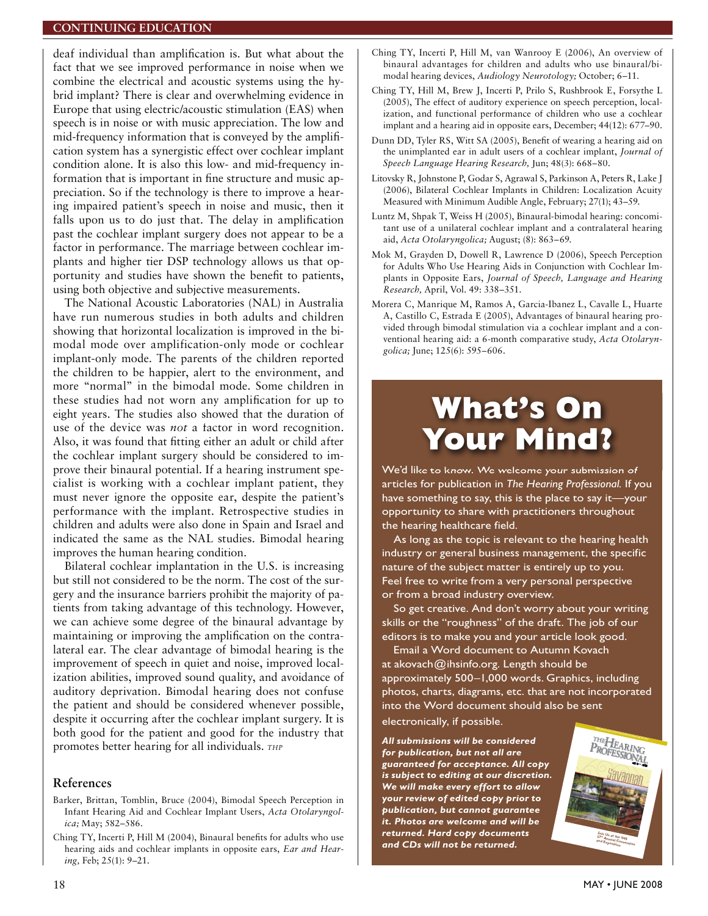#### **CONTINUING EDUCATION**

deaf individual than amplification is. But what about the fact that we see improved performance in noise when we combine the electrical and acoustic systems using the hybrid implant? There is clear and overwhelming evidence in Europe that using electric/acoustic stimulation (EAS) when speech is in noise or with music appreciation. The low and mid-frequency information that is conveyed by the amplification system has a synergistic effect over cochlear implant condition alone. It is also this low- and mid-frequency information that is important in fine structure and music appreciation. So if the technology is there to improve a hearing impaired patient's speech in noise and music, then it falls upon us to do just that. The delay in amplification past the cochlear implant surgery does not appear to be a factor in performance. The marriage between cochlear implants and higher tier DSP technology allows us that opportunity and studies have shown the benefit to patients, using both objective and subjective measurements.

The National Acoustic Laboratories (NAL) in Australia have run numerous studies in both adults and children showing that horizontal localization is improved in the bimodal mode over amplification-only mode or cochlear implant-only mode. The parents of the children reported the children to be happier, alert to the environment, and more "normal" in the bimodal mode. Some children in these studies had not worn any amplification for up to eight years. The studies also showed that the duration of use of the device was *not* a factor in word recognition. Also, it was found that fitting either an adult or child after the cochlear implant surgery should be considered to improve their binaural potential. If a hearing instrument specialist is working with a cochlear implant patient, they must never ignore the opposite ear, despite the patient's performance with the implant. Retrospective studies in children and adults were also done in Spain and Israel and indicated the same as the NAL studies. Bimodal hearing improves the human hearing condition.

Bilateral cochlear implantation in the U.S. is increasing but still not considered to be the norm. The cost of the surgery and the insurance barriers prohibit the majority of patients from taking advantage of this technology. However, we can achieve some degree of the binaural advantage by maintaining or improving the amplification on the contralateral ear. The clear advantage of bimodal hearing is the improvement of speech in quiet and noise, improved localization abilities, improved sound quality, and avoidance of auditory deprivation. Bimodal hearing does not confuse the patient and should be considered whenever possible, despite it occurring after the cochlear implant surgery. It is both good for the patient and good for the industry that promotes better hearing for all individuals. THP

#### References

- Barker, Brittan, Tomblin, Bruce (2004), Bimodal Speech Perception in Infant Hearing Aid and Cochlear Implant Users, Acta Otolaryngolica; May; 582-586.
- Ching TY, Incerti P, Hill M (2004), Binaural benefits for adults who use hearing aids and cochlear implants in opposite ears, Ear and Hear $ing, Feb; 25(1): 9-21.$
- Ching TY, Incerti P, Hill M, van Wanrooy E (2006), An overview of binaural advantages for children and adults who use binaural/bimodal hearing devices, Audiology Neurotology; October; 6-11.
- Ching TY, Hill M, Brew J, Incerti P, Prilo S, Rushbrook E, Forsythe L (2005), The effect of auditory experience on speech perception, localization, and functional performance of children who use a cochlear implant and a hearing aid in opposite ears, December; 44(12): 677-90.
- Dunn DD, Tyler RS, Witt SA (2005), Benefit of wearing a hearing aid on the unimplanted ear in adult users of a cochlear implant, Journal of Speech Language Hearing Research, Jun; 48(3): 668-80.
- Litovsky R, Johnstone P, Godar S, Agrawal S, Parkinson A, Peters R, Lake J (2006), Bilateral Cochlear Implants in Children: Localization Acuity Measured with Minimum Audible Angle, February; 27(1); 43-59.
- Luntz M, Shpak T, Weiss H (2005), Binaural-bimodal hearing: concomitant use of a unilateral cochlear implant and a contralateral hearing aid, Acta Otolaryngolica; August; (8): 863-69.
- Mok M, Grayden D, Dowell R, Lawrence D (2006), Speech Perception for Adults Who Use Hearing Aids in Conjunction with Cochlear Implants in Opposite Ears, Journal of Speech, Language and Hearing Research, April, Vol. 49: 338-351.
- Morera C, Manrique M, Ramos A, Garcia-Ibanez L, Cavalle L, Huarte A, Castillo C, Estrada E (2005), Advantages of binaural hearing provided through bimodal stimulation via a cochlear implant and a conventional hearing aid: a 6-month comparative study, Acta Otolaryngolica; June; 125(6): 595-606.

## **What's On Your Mind?**

We'd like to know. We welcome your submission of articles for publication in The Hearing Professional. If you have something to say, this is the place to say it-your opportunity to share with practitioners throughout the hearing healthcare field.

As long as the topic is relevant to the hearing health industry or general business management, the specific nature of the subject matter is entirely up to you. Feel free to write from a very personal perspective or from a broad industry overview.

So get creative. And don't worry about your writing skills or the "roughness" of the draft. The job of our editors is to make you and your article look good.

Email a Word document to Autumn Kovach at akovach@ihsinfo.org. Length should be approximately 500-1,000 words. Graphics, including photos, charts, diagrams, etc. that are not incorporated into the Word document should also be sent electronically, if possible.

All submissions will be considered for publication, but not all are guaranteed for acceptance. All copy is subject to editing at our discretion. We will make every effort to allow your review of edited copy prior to publication, but cannot guarantee it. Photos are welcome and will be returned. Hard copy documents and CDs will not be returned.